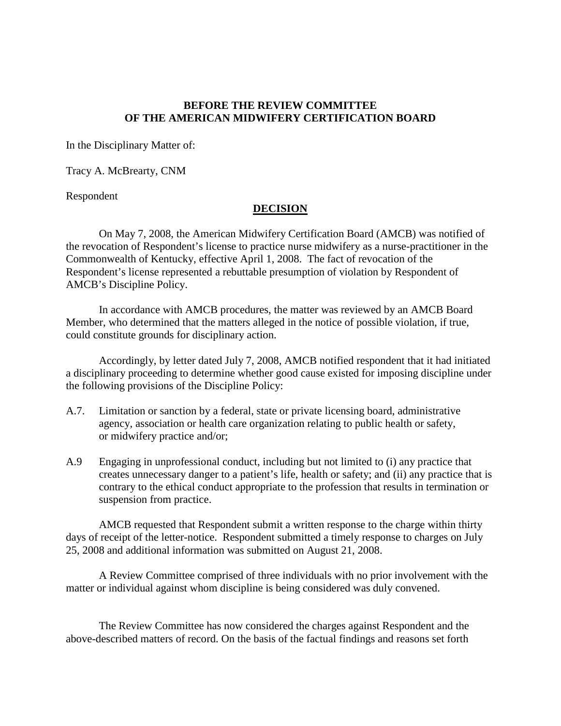## **BEFORE THE REVIEW COMMITTEE OF THE AMERICAN MIDWIFERY CERTIFICATION BOARD**

In the Disciplinary Matter of:

Tracy A. McBrearty, CNM

Respondent

## **DECISION**

On May 7, 2008, the American Midwifery Certification Board (AMCB) was notified of the revocation of Respondent's license to practice nurse midwifery as a nurse-practitioner in the Commonwealth of Kentucky, effective April 1, 2008. The fact of revocation of the Respondent's license represented a rebuttable presumption of violation by Respondent of AMCB's Discipline Policy.

In accordance with AMCB procedures, the matter was reviewed by an AMCB Board Member, who determined that the matters alleged in the notice of possible violation, if true, could constitute grounds for disciplinary action.

Accordingly, by letter dated July 7, 2008, AMCB notified respondent that it had initiated a disciplinary proceeding to determine whether good cause existed for imposing discipline under the following provisions of the Discipline Policy:

- A.7. Limitation or sanction by a federal, state or private licensing board, administrative agency, association or health care organization relating to public health or safety, or midwifery practice and/or;
- A.9 Engaging in unprofessional conduct, including but not limited to (i) any practice that creates unnecessary danger to a patient's life, health or safety; and (ii) any practice that is contrary to the ethical conduct appropriate to the profession that results in termination or suspension from practice.

AMCB requested that Respondent submit a written response to the charge within thirty days of receipt of the letter-notice. Respondent submitted a timely response to charges on July 25, 2008 and additional information was submitted on August 21, 2008.

A Review Committee comprised of three individuals with no prior involvement with the matter or individual against whom discipline is being considered was duly convened.

The Review Committee has now considered the charges against Respondent and the above-described matters of record. On the basis of the factual findings and reasons set forth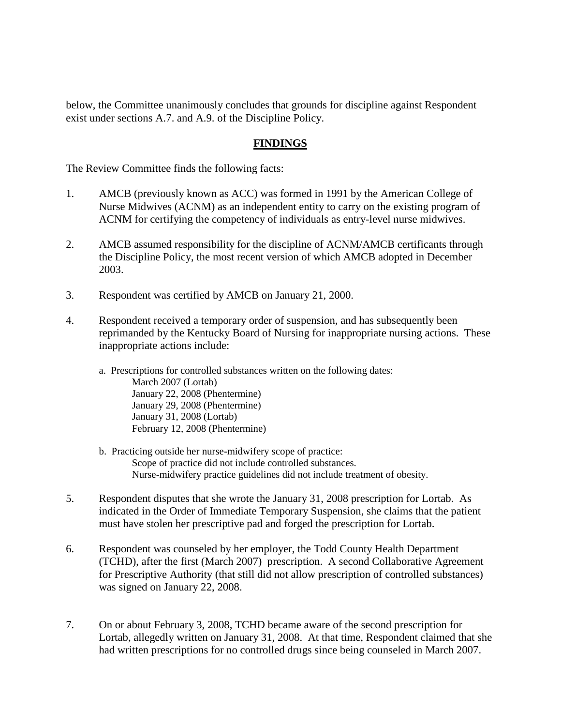below, the Committee unanimously concludes that grounds for discipline against Respondent exist under sections A.7. and A.9. of the Discipline Policy.

# **FINDINGS**

The Review Committee finds the following facts:

- 1. AMCB (previously known as ACC) was formed in 1991 by the American College of Nurse Midwives (ACNM) as an independent entity to carry on the existing program of ACNM for certifying the competency of individuals as entry-level nurse midwives.
- 2. AMCB assumed responsibility for the discipline of ACNM/AMCB certificants through the Discipline Policy, the most recent version of which AMCB adopted in December 2003.
- 3. Respondent was certified by AMCB on January 21, 2000.
- 4. Respondent received a temporary order of suspension, and has subsequently been reprimanded by the Kentucky Board of Nursing for inappropriate nursing actions. These inappropriate actions include:
	- a. Prescriptions for controlled substances written on the following dates: March 2007 (Lortab) January 22, 2008 (Phentermine) January 29, 2008 (Phentermine) January 31, 2008 (Lortab) February 12, 2008 (Phentermine)
	- b. Practicing outside her nurse-midwifery scope of practice: Scope of practice did not include controlled substances. Nurse-midwifery practice guidelines did not include treatment of obesity.
- 5. Respondent disputes that she wrote the January 31, 2008 prescription for Lortab. As indicated in the Order of Immediate Temporary Suspension, she claims that the patient must have stolen her prescriptive pad and forged the prescription for Lortab.
- 6. Respondent was counseled by her employer, the Todd County Health Department (TCHD), after the first (March 2007) prescription. A second Collaborative Agreement for Prescriptive Authority (that still did not allow prescription of controlled substances) was signed on January 22, 2008.
- 7. On or about February 3, 2008, TCHD became aware of the second prescription for Lortab, allegedly written on January 31, 2008. At that time, Respondent claimed that she had written prescriptions for no controlled drugs since being counseled in March 2007.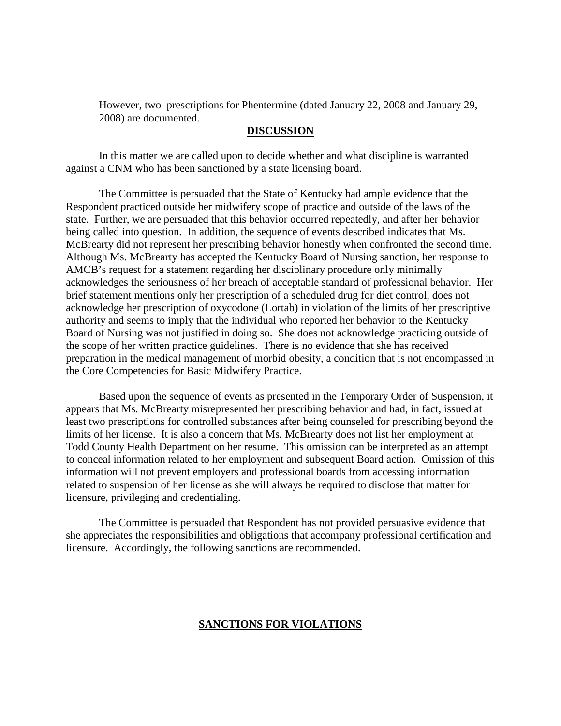However, two prescriptions for Phentermine (dated January 22, 2008 and January 29, 2008) are documented.

#### **DISCUSSION**

In this matter we are called upon to decide whether and what discipline is warranted against a CNM who has been sanctioned by a state licensing board.

The Committee is persuaded that the State of Kentucky had ample evidence that the Respondent practiced outside her midwifery scope of practice and outside of the laws of the state. Further, we are persuaded that this behavior occurred repeatedly, and after her behavior being called into question. In addition, the sequence of events described indicates that Ms. McBrearty did not represent her prescribing behavior honestly when confronted the second time. Although Ms. McBrearty has accepted the Kentucky Board of Nursing sanction, her response to AMCB's request for a statement regarding her disciplinary procedure only minimally acknowledges the seriousness of her breach of acceptable standard of professional behavior. Her brief statement mentions only her prescription of a scheduled drug for diet control, does not acknowledge her prescription of oxycodone (Lortab) in violation of the limits of her prescriptive authority and seems to imply that the individual who reported her behavior to the Kentucky Board of Nursing was not justified in doing so. She does not acknowledge practicing outside of the scope of her written practice guidelines. There is no evidence that she has received preparation in the medical management of morbid obesity, a condition that is not encompassed in the Core Competencies for Basic Midwifery Practice.

Based upon the sequence of events as presented in the Temporary Order of Suspension, it appears that Ms. McBrearty misrepresented her prescribing behavior and had, in fact, issued at least two prescriptions for controlled substances after being counseled for prescribing beyond the limits of her license. It is also a concern that Ms. McBrearty does not list her employment at Todd County Health Department on her resume. This omission can be interpreted as an attempt to conceal information related to her employment and subsequent Board action. Omission of this information will not prevent employers and professional boards from accessing information related to suspension of her license as she will always be required to disclose that matter for licensure, privileging and credentialing.

The Committee is persuaded that Respondent has not provided persuasive evidence that she appreciates the responsibilities and obligations that accompany professional certification and licensure. Accordingly, the following sanctions are recommended.

### **SANCTIONS FOR VIOLATIONS**